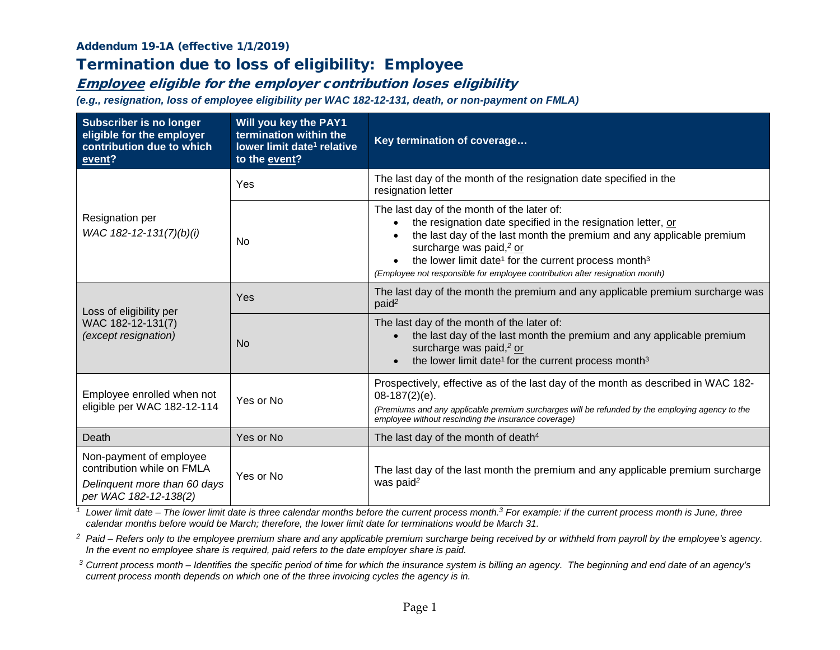#### Addendum 19-1A (effective 1/1/2019)

# Termination due to loss of eligibility: Employee

### Employee eligible for the employer contribution loses eligibility

*(e.g., resignation, loss of employee eligibility per WAC 182-12-131, death, or non-payment on FMLA)*

| <b>Subscriber is no longer</b><br>eligible for the employer<br>contribution due to which<br>event?             | Will you key the PAY1<br>termination within the<br>lower limit date <sup>1</sup> relative<br>to the event? | Key termination of coverage                                                                                                                                                                                                                                                                                                                                                                             |  |
|----------------------------------------------------------------------------------------------------------------|------------------------------------------------------------------------------------------------------------|---------------------------------------------------------------------------------------------------------------------------------------------------------------------------------------------------------------------------------------------------------------------------------------------------------------------------------------------------------------------------------------------------------|--|
| Resignation per<br>WAC 182-12-131(7)(b)(i)                                                                     | Yes                                                                                                        | The last day of the month of the resignation date specified in the<br>resignation letter                                                                                                                                                                                                                                                                                                                |  |
|                                                                                                                | No.                                                                                                        | The last day of the month of the later of:<br>the resignation date specified in the resignation letter, or<br>$\bullet$<br>the last day of the last month the premium and any applicable premium<br>surcharge was paid, <sup>2</sup> or<br>the lower limit date <sup>1</sup> for the current process month <sup>3</sup><br>(Employee not responsible for employee contribution after resignation month) |  |
| Loss of eligibility per<br>WAC 182-12-131(7)<br>(except resignation)                                           | Yes                                                                                                        | The last day of the month the premium and any applicable premium surcharge was<br>paid <sup>2</sup>                                                                                                                                                                                                                                                                                                     |  |
|                                                                                                                | N <sub>0</sub>                                                                                             | The last day of the month of the later of:<br>the last day of the last month the premium and any applicable premium<br>surcharge was paid, <sup>2</sup> or<br>the lower limit date <sup>1</sup> for the current process month <sup>3</sup><br>$\bullet$                                                                                                                                                 |  |
| Employee enrolled when not<br>eligible per WAC 182-12-114                                                      | Yes or No                                                                                                  | Prospectively, effective as of the last day of the month as described in WAC 182-<br>$08-187(2)(e)$ .<br>(Premiums and any applicable premium surcharges will be refunded by the employing agency to the<br>employee without rescinding the insurance coverage)                                                                                                                                         |  |
| Death                                                                                                          | Yes or No                                                                                                  | The last day of the month of death <sup>4</sup>                                                                                                                                                                                                                                                                                                                                                         |  |
| Non-payment of employee<br>contribution while on FMLA<br>Delinquent more than 60 days<br>per WAC 182-12-138(2) | Yes or No                                                                                                  | The last day of the last month the premium and any applicable premium surcharge<br>was paid <sup>2</sup>                                                                                                                                                                                                                                                                                                |  |

*<sup>1</sup> Lower limit date – The lower limit date is three calendar months before the current process month. <sup>3</sup> For example: if the current process month is June, three calendar months before would be March; therefore, the lower limit date for terminations would be March 31.*

<sup>2</sup> Paid – Refers only to the employee premium share and any applicable premium surcharge being received by or withheld from payroll by the employee's agency. *In the event no employee share is required, paid refers to the date employer share is paid.*

*<sup>3</sup> Current process month – Identifies the specific period of time for which the insurance system is billing an agency. The beginning and end date of an agency's current process month depends on which one of the three invoicing cycles the agency is in.*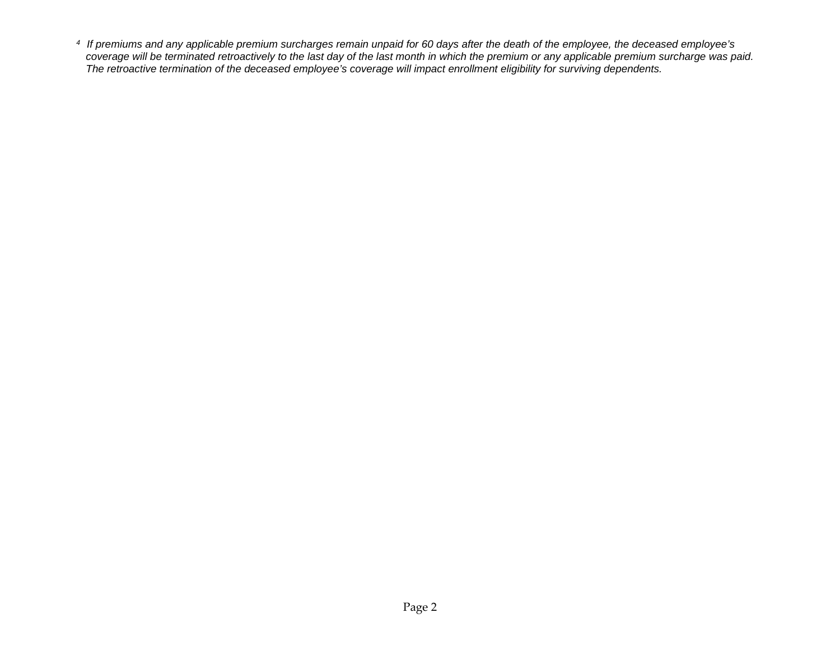*4 If premiums and any applicable premium surcharges remain unpaid for 60 days after the death of the employee, the deceased employee's coverage will be terminated retroactively to the last day of the last month in which the premium or any applicable premium surcharge was paid. The retroactive termination of the deceased employee's coverage will impact enrollment eligibility for surviving dependents.*